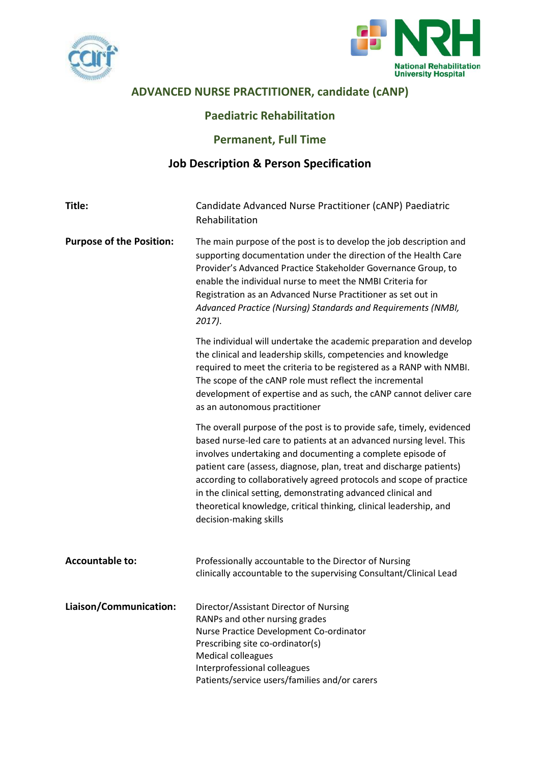



# **ADVANCED NURSE PRACTITIONER, candidate (cANP)**

## **Paediatric Rehabilitation**

## **Permanent, Full Time**

## **Job Description & Person Specification**

| Title:                          | Candidate Advanced Nurse Practitioner (CANP) Paediatric<br>Rehabilitation                                                                                                                                                                                                                                                                                                                                                                                                                                                |
|---------------------------------|--------------------------------------------------------------------------------------------------------------------------------------------------------------------------------------------------------------------------------------------------------------------------------------------------------------------------------------------------------------------------------------------------------------------------------------------------------------------------------------------------------------------------|
| <b>Purpose of the Position:</b> | The main purpose of the post is to develop the job description and<br>supporting documentation under the direction of the Health Care<br>Provider's Advanced Practice Stakeholder Governance Group, to<br>enable the individual nurse to meet the NMBI Criteria for<br>Registration as an Advanced Nurse Practitioner as set out in<br>Advanced Practice (Nursing) Standards and Requirements (NMBI,<br>$2017$ ).                                                                                                        |
|                                 | The individual will undertake the academic preparation and develop<br>the clinical and leadership skills, competencies and knowledge<br>required to meet the criteria to be registered as a RANP with NMBI.<br>The scope of the cANP role must reflect the incremental<br>development of expertise and as such, the cANP cannot deliver care<br>as an autonomous practitioner                                                                                                                                            |
|                                 | The overall purpose of the post is to provide safe, timely, evidenced<br>based nurse-led care to patients at an advanced nursing level. This<br>involves undertaking and documenting a complete episode of<br>patient care (assess, diagnose, plan, treat and discharge patients)<br>according to collaboratively agreed protocols and scope of practice<br>in the clinical setting, demonstrating advanced clinical and<br>theoretical knowledge, critical thinking, clinical leadership, and<br>decision-making skills |
| <b>Accountable to:</b>          | Professionally accountable to the Director of Nursing<br>clinically accountable to the supervising Consultant/Clinical Lead                                                                                                                                                                                                                                                                                                                                                                                              |
| Liaison/Communication:          | Director/Assistant Director of Nursing<br>RANPs and other nursing grades<br>Nurse Practice Development Co-ordinator<br>Prescribing site co-ordinator(s)<br><b>Medical colleagues</b><br>Interprofessional colleagues<br>Patients/service users/families and/or carers                                                                                                                                                                                                                                                    |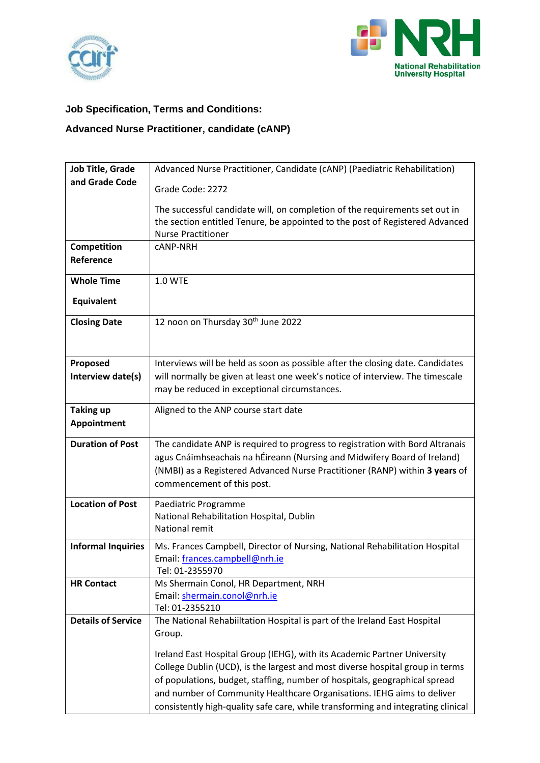



# **Job Specification, Terms and Conditions:**

# **Advanced Nurse Practitioner, candidate (cANP)**

| Job Title, Grade          | Advanced Nurse Practitioner, Candidate (cANP) (Paediatric Rehabilitation)                                                     |
|---------------------------|-------------------------------------------------------------------------------------------------------------------------------|
| and Grade Code            | Grade Code: 2272                                                                                                              |
|                           |                                                                                                                               |
|                           | The successful candidate will, on completion of the requirements set out in                                                   |
|                           | the section entitled Tenure, be appointed to the post of Registered Advanced<br><b>Nurse Practitioner</b>                     |
| Competition               | <b>CANP-NRH</b>                                                                                                               |
| Reference                 |                                                                                                                               |
| <b>Whole Time</b>         | 1.0 WTE                                                                                                                       |
| Equivalent                |                                                                                                                               |
| <b>Closing Date</b>       | 12 noon on Thursday 30 <sup>th</sup> June 2022                                                                                |
|                           |                                                                                                                               |
|                           |                                                                                                                               |
| Proposed                  | Interviews will be held as soon as possible after the closing date. Candidates                                                |
| Interview date(s)         | will normally be given at least one week's notice of interview. The timescale<br>may be reduced in exceptional circumstances. |
|                           |                                                                                                                               |
| <b>Taking up</b>          | Aligned to the ANP course start date                                                                                          |
| Appointment               |                                                                                                                               |
| <b>Duration of Post</b>   | The candidate ANP is required to progress to registration with Bord Altranais                                                 |
|                           | agus Cnáimhseachais na hÉireann (Nursing and Midwifery Board of Ireland)                                                      |
|                           | (NMBI) as a Registered Advanced Nurse Practitioner (RANP) within 3 years of                                                   |
|                           | commencement of this post.                                                                                                    |
| <b>Location of Post</b>   | Paediatric Programme                                                                                                          |
|                           | National Rehabilitation Hospital, Dublin                                                                                      |
|                           | National remit                                                                                                                |
| <b>Informal Inquiries</b> | Ms. Frances Campbell, Director of Nursing, National Rehabilitation Hospital                                                   |
|                           | Email: frances.campbell@nrh.ie<br>Tel: 01-2355970                                                                             |
| <b>HR Contact</b>         | Ms Shermain Conol, HR Department, NRH                                                                                         |
|                           | Email: shermain.conol@nrh.ie                                                                                                  |
|                           | Tel: 01-2355210                                                                                                               |
| <b>Details of Service</b> | The National Rehabiiltation Hospital is part of the Ireland East Hospital                                                     |
|                           | Group.                                                                                                                        |
|                           | Ireland East Hospital Group (IEHG), with its Academic Partner University                                                      |
|                           | College Dublin (UCD), is the largest and most diverse hospital group in terms                                                 |
|                           | of populations, budget, staffing, number of hospitals, geographical spread                                                    |
|                           | and number of Community Healthcare Organisations. IEHG aims to deliver                                                        |
|                           | consistently high-quality safe care, while transforming and integrating clinical                                              |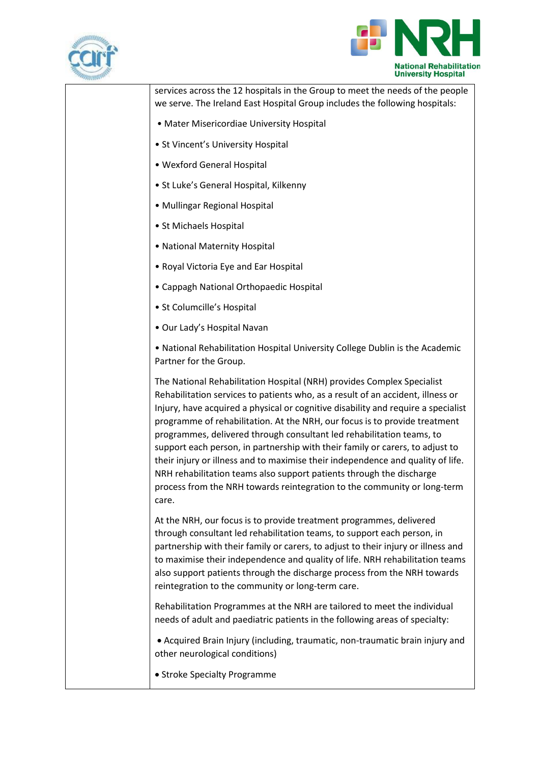



| <b>AMERICAN</b> |                                                                                                                                                                                                                                                                                                                                                                                                                                                                                                                                                                                                                                                                                                                                        |
|-----------------|----------------------------------------------------------------------------------------------------------------------------------------------------------------------------------------------------------------------------------------------------------------------------------------------------------------------------------------------------------------------------------------------------------------------------------------------------------------------------------------------------------------------------------------------------------------------------------------------------------------------------------------------------------------------------------------------------------------------------------------|
|                 | services across the 12 hospitals in the Group to meet the needs of the people<br>we serve. The Ireland East Hospital Group includes the following hospitals:                                                                                                                                                                                                                                                                                                                                                                                                                                                                                                                                                                           |
|                 | • Mater Misericordiae University Hospital                                                                                                                                                                                                                                                                                                                                                                                                                                                                                                                                                                                                                                                                                              |
|                 | • St Vincent's University Hospital                                                                                                                                                                                                                                                                                                                                                                                                                                                                                                                                                                                                                                                                                                     |
|                 | • Wexford General Hospital                                                                                                                                                                                                                                                                                                                                                                                                                                                                                                                                                                                                                                                                                                             |
|                 | • St Luke's General Hospital, Kilkenny                                                                                                                                                                                                                                                                                                                                                                                                                                                                                                                                                                                                                                                                                                 |
|                 | • Mullingar Regional Hospital                                                                                                                                                                                                                                                                                                                                                                                                                                                                                                                                                                                                                                                                                                          |
|                 | • St Michaels Hospital                                                                                                                                                                                                                                                                                                                                                                                                                                                                                                                                                                                                                                                                                                                 |
|                 | • National Maternity Hospital                                                                                                                                                                                                                                                                                                                                                                                                                                                                                                                                                                                                                                                                                                          |
|                 | • Royal Victoria Eye and Ear Hospital                                                                                                                                                                                                                                                                                                                                                                                                                                                                                                                                                                                                                                                                                                  |
|                 | • Cappagh National Orthopaedic Hospital                                                                                                                                                                                                                                                                                                                                                                                                                                                                                                                                                                                                                                                                                                |
|                 | · St Columcille's Hospital                                                                                                                                                                                                                                                                                                                                                                                                                                                                                                                                                                                                                                                                                                             |
|                 | · Our Lady's Hospital Navan                                                                                                                                                                                                                                                                                                                                                                                                                                                                                                                                                                                                                                                                                                            |
|                 | . National Rehabilitation Hospital University College Dublin is the Academic<br>Partner for the Group.                                                                                                                                                                                                                                                                                                                                                                                                                                                                                                                                                                                                                                 |
|                 | The National Rehabilitation Hospital (NRH) provides Complex Specialist<br>Rehabilitation services to patients who, as a result of an accident, illness or<br>Injury, have acquired a physical or cognitive disability and require a specialist<br>programme of rehabilitation. At the NRH, our focus is to provide treatment<br>programmes, delivered through consultant led rehabilitation teams, to<br>support each person, in partnership with their family or carers, to adjust to<br>their injury or illness and to maximise their independence and quality of life.<br>NRH rehabilitation teams also support patients through the discharge<br>process from the NRH towards reintegration to the community or long-term<br>care. |
|                 | At the NRH, our focus is to provide treatment programmes, delivered<br>through consultant led rehabilitation teams, to support each person, in<br>partnership with their family or carers, to adjust to their injury or illness and<br>to maximise their independence and quality of life. NRH rehabilitation teams<br>also support patients through the discharge process from the NRH towards<br>reintegration to the community or long-term care.                                                                                                                                                                                                                                                                                   |
|                 | Rehabilitation Programmes at the NRH are tailored to meet the individual<br>needs of adult and paediatric patients in the following areas of specialty:                                                                                                                                                                                                                                                                                                                                                                                                                                                                                                                                                                                |
|                 | • Acquired Brain Injury (including, traumatic, non-traumatic brain injury and<br>other neurological conditions)                                                                                                                                                                                                                                                                                                                                                                                                                                                                                                                                                                                                                        |
|                 | • Stroke Specialty Programme                                                                                                                                                                                                                                                                                                                                                                                                                                                                                                                                                                                                                                                                                                           |
|                 |                                                                                                                                                                                                                                                                                                                                                                                                                                                                                                                                                                                                                                                                                                                                        |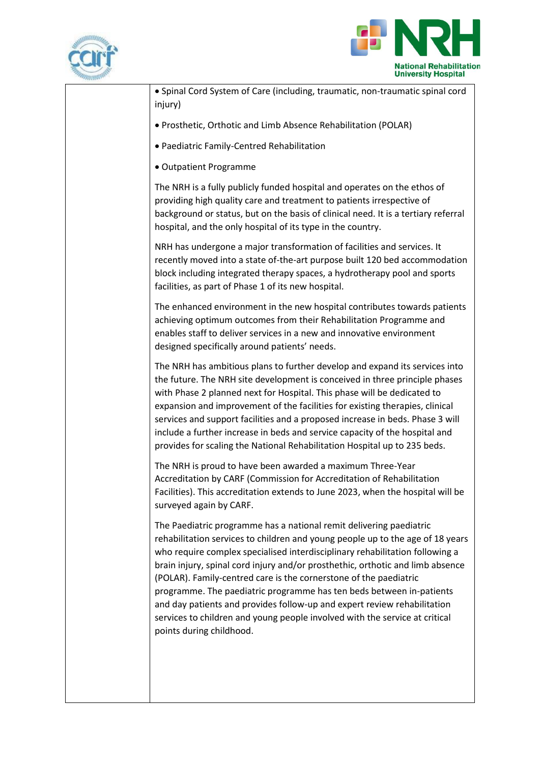



| • Spinal Cord System of Care (including, traumatic, non-traumatic spinal cord<br>injury)                                                                                                                                                                                                                                                                                                                                                                                                                                                                                                                                                                    |
|-------------------------------------------------------------------------------------------------------------------------------------------------------------------------------------------------------------------------------------------------------------------------------------------------------------------------------------------------------------------------------------------------------------------------------------------------------------------------------------------------------------------------------------------------------------------------------------------------------------------------------------------------------------|
| · Prosthetic, Orthotic and Limb Absence Rehabilitation (POLAR)                                                                                                                                                                                                                                                                                                                                                                                                                                                                                                                                                                                              |
| • Paediatric Family-Centred Rehabilitation                                                                                                                                                                                                                                                                                                                                                                                                                                                                                                                                                                                                                  |
| • Outpatient Programme                                                                                                                                                                                                                                                                                                                                                                                                                                                                                                                                                                                                                                      |
| The NRH is a fully publicly funded hospital and operates on the ethos of<br>providing high quality care and treatment to patients irrespective of<br>background or status, but on the basis of clinical need. It is a tertiary referral<br>hospital, and the only hospital of its type in the country.                                                                                                                                                                                                                                                                                                                                                      |
| NRH has undergone a major transformation of facilities and services. It<br>recently moved into a state of-the-art purpose built 120 bed accommodation<br>block including integrated therapy spaces, a hydrotherapy pool and sports<br>facilities, as part of Phase 1 of its new hospital.                                                                                                                                                                                                                                                                                                                                                                   |
| The enhanced environment in the new hospital contributes towards patients<br>achieving optimum outcomes from their Rehabilitation Programme and<br>enables staff to deliver services in a new and innovative environment<br>designed specifically around patients' needs.                                                                                                                                                                                                                                                                                                                                                                                   |
| The NRH has ambitious plans to further develop and expand its services into<br>the future. The NRH site development is conceived in three principle phases<br>with Phase 2 planned next for Hospital. This phase will be dedicated to<br>expansion and improvement of the facilities for existing therapies, clinical<br>services and support facilities and a proposed increase in beds. Phase 3 will<br>include a further increase in beds and service capacity of the hospital and<br>provides for scaling the National Rehabilitation Hospital up to 235 beds.                                                                                          |
| The NRH is proud to have been awarded a maximum Three-Year<br>Accreditation by CARF (Commission for Accreditation of Rehabilitation<br>Facilities). This accreditation extends to June 2023, when the hospital will be<br>surveyed again by CARF.                                                                                                                                                                                                                                                                                                                                                                                                           |
| The Paediatric programme has a national remit delivering paediatric<br>rehabilitation services to children and young people up to the age of 18 years<br>who require complex specialised interdisciplinary rehabilitation following a<br>brain injury, spinal cord injury and/or prosthethic, orthotic and limb absence<br>(POLAR). Family-centred care is the cornerstone of the paediatric<br>programme. The paediatric programme has ten beds between in-patients<br>and day patients and provides follow-up and expert review rehabilitation<br>services to children and young people involved with the service at critical<br>points during childhood. |
|                                                                                                                                                                                                                                                                                                                                                                                                                                                                                                                                                                                                                                                             |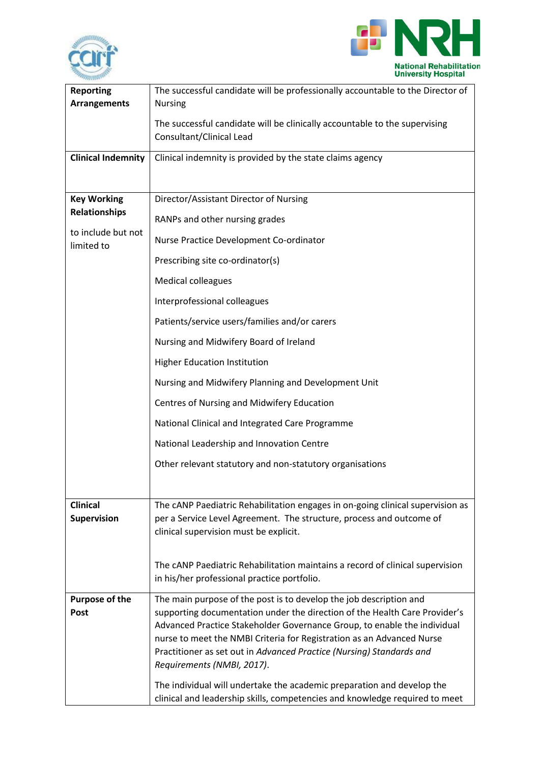



| <b>Reporting</b><br><b>Arrangements</b> | The successful candidate will be professionally accountable to the Director of<br><b>Nursing</b>                                                      |
|-----------------------------------------|-------------------------------------------------------------------------------------------------------------------------------------------------------|
|                                         | The successful candidate will be clinically accountable to the supervising<br>Consultant/Clinical Lead                                                |
| <b>Clinical Indemnity</b>               | Clinical indemnity is provided by the state claims agency                                                                                             |
|                                         |                                                                                                                                                       |
| <b>Key Working</b>                      | Director/Assistant Director of Nursing                                                                                                                |
| <b>Relationships</b>                    | RANPs and other nursing grades                                                                                                                        |
| to include but not<br>limited to        | Nurse Practice Development Co-ordinator                                                                                                               |
|                                         | Prescribing site co-ordinator(s)                                                                                                                      |
|                                         | <b>Medical colleagues</b>                                                                                                                             |
|                                         | Interprofessional colleagues                                                                                                                          |
|                                         | Patients/service users/families and/or carers                                                                                                         |
|                                         | Nursing and Midwifery Board of Ireland                                                                                                                |
|                                         | <b>Higher Education Institution</b>                                                                                                                   |
|                                         | Nursing and Midwifery Planning and Development Unit                                                                                                   |
|                                         | Centres of Nursing and Midwifery Education                                                                                                            |
|                                         | National Clinical and Integrated Care Programme                                                                                                       |
|                                         | National Leadership and Innovation Centre                                                                                                             |
|                                         | Other relevant statutory and non-statutory organisations                                                                                              |
|                                         |                                                                                                                                                       |
| <b>Clinical</b>                         | The cANP Paediatric Rehabilitation engages in on-going clinical supervision as                                                                        |
| <b>Supervision</b>                      | per a Service Level Agreement. The structure, process and outcome of                                                                                  |
|                                         | clinical supervision must be explicit.                                                                                                                |
|                                         | The cANP Paediatric Rehabilitation maintains a record of clinical supervision                                                                         |
|                                         | in his/her professional practice portfolio.                                                                                                           |
| <b>Purpose of the</b>                   | The main purpose of the post is to develop the job description and                                                                                    |
| Post                                    | supporting documentation under the direction of the Health Care Provider's                                                                            |
|                                         | Advanced Practice Stakeholder Governance Group, to enable the individual                                                                              |
|                                         | nurse to meet the NMBI Criteria for Registration as an Advanced Nurse                                                                                 |
|                                         | Practitioner as set out in Advanced Practice (Nursing) Standards and<br>Requirements (NMBI, 2017).                                                    |
|                                         |                                                                                                                                                       |
|                                         | The individual will undertake the academic preparation and develop the<br>clinical and leadership skills, competencies and knowledge required to meet |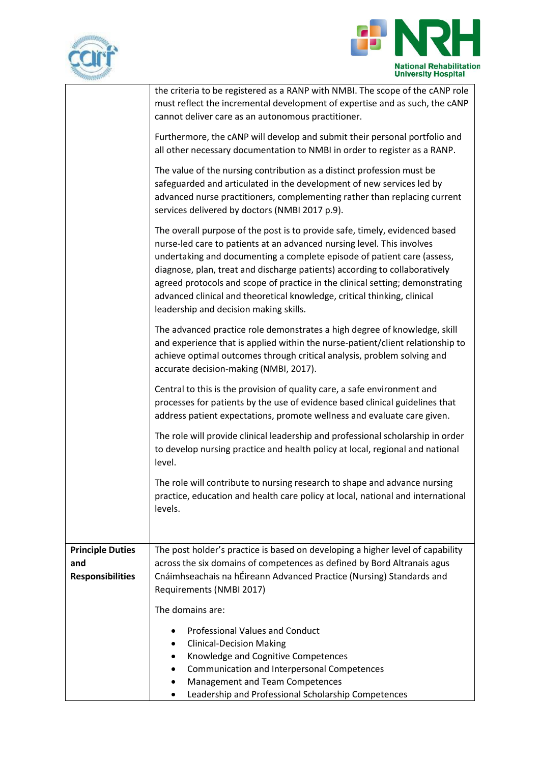



| <b>ANDIANA</b>                                            |                                                                                                                                                                                                                                                                                                                                                                                                                                                                                                                       |
|-----------------------------------------------------------|-----------------------------------------------------------------------------------------------------------------------------------------------------------------------------------------------------------------------------------------------------------------------------------------------------------------------------------------------------------------------------------------------------------------------------------------------------------------------------------------------------------------------|
|                                                           | the criteria to be registered as a RANP with NMBI. The scope of the cANP role<br>must reflect the incremental development of expertise and as such, the cANP<br>cannot deliver care as an autonomous practitioner.                                                                                                                                                                                                                                                                                                    |
|                                                           | Furthermore, the cANP will develop and submit their personal portfolio and<br>all other necessary documentation to NMBI in order to register as a RANP.                                                                                                                                                                                                                                                                                                                                                               |
|                                                           | The value of the nursing contribution as a distinct profession must be<br>safeguarded and articulated in the development of new services led by<br>advanced nurse practitioners, complementing rather than replacing current<br>services delivered by doctors (NMBI 2017 p.9).                                                                                                                                                                                                                                        |
|                                                           | The overall purpose of the post is to provide safe, timely, evidenced based<br>nurse-led care to patients at an advanced nursing level. This involves<br>undertaking and documenting a complete episode of patient care (assess,<br>diagnose, plan, treat and discharge patients) according to collaboratively<br>agreed protocols and scope of practice in the clinical setting; demonstrating<br>advanced clinical and theoretical knowledge, critical thinking, clinical<br>leadership and decision making skills. |
|                                                           | The advanced practice role demonstrates a high degree of knowledge, skill<br>and experience that is applied within the nurse-patient/client relationship to<br>achieve optimal outcomes through critical analysis, problem solving and<br>accurate decision-making (NMBI, 2017).                                                                                                                                                                                                                                      |
|                                                           | Central to this is the provision of quality care, a safe environment and<br>processes for patients by the use of evidence based clinical guidelines that<br>address patient expectations, promote wellness and evaluate care given.                                                                                                                                                                                                                                                                                   |
|                                                           | The role will provide clinical leadership and professional scholarship in order<br>to develop nursing practice and health policy at local, regional and national<br>level.                                                                                                                                                                                                                                                                                                                                            |
|                                                           | The role will contribute to nursing research to shape and advance nursing<br>practice, education and health care policy at local, national and international<br>levels.                                                                                                                                                                                                                                                                                                                                               |
| <b>Principle Duties</b><br>and<br><b>Responsibilities</b> | The post holder's practice is based on developing a higher level of capability<br>across the six domains of competences as defined by Bord Altranais agus<br>Cnáimhseachais na hÉireann Advanced Practice (Nursing) Standards and<br>Requirements (NMBI 2017)                                                                                                                                                                                                                                                         |
|                                                           | The domains are:                                                                                                                                                                                                                                                                                                                                                                                                                                                                                                      |
|                                                           | <b>Professional Values and Conduct</b>                                                                                                                                                                                                                                                                                                                                                                                                                                                                                |
|                                                           | <b>Clinical-Decision Making</b>                                                                                                                                                                                                                                                                                                                                                                                                                                                                                       |
|                                                           | Knowledge and Cognitive Competences                                                                                                                                                                                                                                                                                                                                                                                                                                                                                   |
|                                                           | Communication and Interpersonal Competences                                                                                                                                                                                                                                                                                                                                                                                                                                                                           |
|                                                           | Management and Team Competences                                                                                                                                                                                                                                                                                                                                                                                                                                                                                       |
|                                                           | Leadership and Professional Scholarship Competences<br>٠                                                                                                                                                                                                                                                                                                                                                                                                                                                              |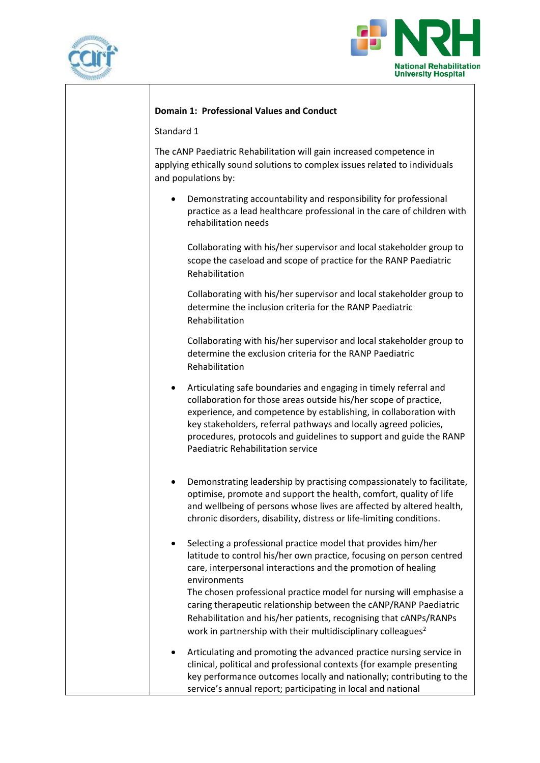



#### **Domain 1: Professional Values and Conduct**

Standard 1

The cANP Paediatric Rehabilitation will gain increased competence in applying ethically sound solutions to complex issues related to individuals and populations by:

• Demonstrating accountability and responsibility for professional practice as a lead healthcare professional in the care of children with rehabilitation needs

Collaborating with his/her supervisor and local stakeholder group to scope the caseload and scope of practice for the RANP Paediatric Rehabilitation

Collaborating with his/her supervisor and local stakeholder group to determine the inclusion criteria for the RANP Paediatric Rehabilitation

Collaborating with his/her supervisor and local stakeholder group to determine the exclusion criteria for the RANP Paediatric Rehabilitation

- Articulating safe boundaries and engaging in timely referral and collaboration for those areas outside his/her scope of practice, experience, and competence by establishing, in collaboration with key stakeholders, referral pathways and locally agreed policies, procedures, protocols and guidelines to support and guide the RANP Paediatric Rehabilitation service
- Demonstrating leadership by practising compassionately to facilitate, optimise, promote and support the health, comfort, quality of life and wellbeing of persons whose lives are affected by altered health, chronic disorders, disability, distress or life-limiting conditions.
- Selecting a professional practice model that provides him/her latitude to control his/her own practice, focusing on person centred care, interpersonal interactions and the promotion of healing environments The chosen professional practice model for nursing will emphasise a

caring therapeutic relationship between the cANP/RANP Paediatric Rehabilitation and his/her patients, recognising that cANPs/RANPs work in partnership with their multidisciplinary colleagues<sup>2</sup>

• Articulating and promoting the advanced practice nursing service in clinical, political and professional contexts {for example presenting key performance outcomes locally and nationally; contributing to the service's annual report; participating in local and national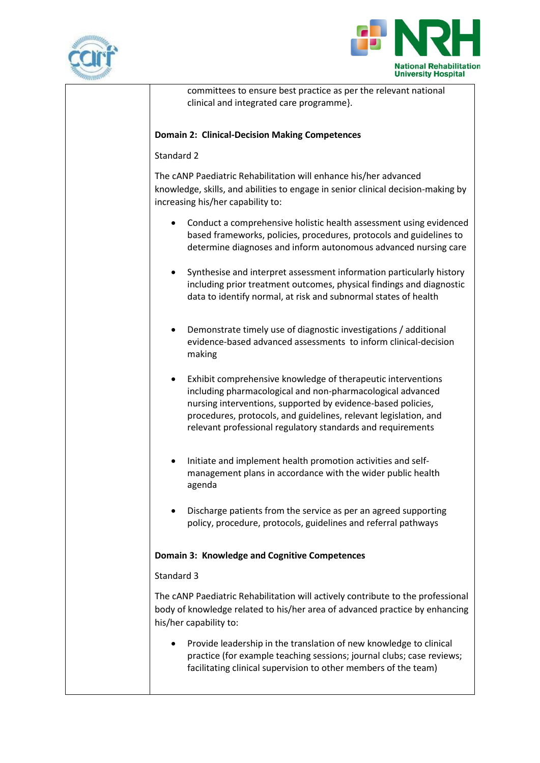



committees to ensure best practice as per the relevant national clinical and integrated care programme}.

#### **Domain 2: Clinical-Decision Making Competences**

#### Standard 2

The cANP Paediatric Rehabilitation will enhance his/her advanced knowledge, skills, and abilities to engage in senior clinical decision-making by increasing his/her capability to:

- Conduct a comprehensive holistic health assessment using evidenced based frameworks, policies, procedures, protocols and guidelines to determine diagnoses and inform autonomous advanced nursing care
- Synthesise and interpret assessment information particularly history including prior treatment outcomes, physical findings and diagnostic data to identify normal, at risk and subnormal states of health
- Demonstrate timely use of diagnostic investigations / additional evidence-based advanced assessments to inform clinical-decision making
- Exhibit comprehensive knowledge of therapeutic interventions including pharmacological and non-pharmacological advanced nursing interventions, supported by evidence-based policies, procedures, protocols, and guidelines, relevant legislation, and relevant professional regulatory standards and requirements
- Initiate and implement health promotion activities and selfmanagement plans in accordance with the wider public health agenda
- Discharge patients from the service as per an agreed supporting policy, procedure, protocols, guidelines and referral pathways

### **Domain 3: Knowledge and Cognitive Competences**

#### Standard 3

The cANP Paediatric Rehabilitation will actively contribute to the professional body of knowledge related to his/her area of advanced practice by enhancing his/her capability to:

• Provide leadership in the translation of new knowledge to clinical practice (for example teaching sessions; journal clubs; case reviews; facilitating clinical supervision to other members of the team)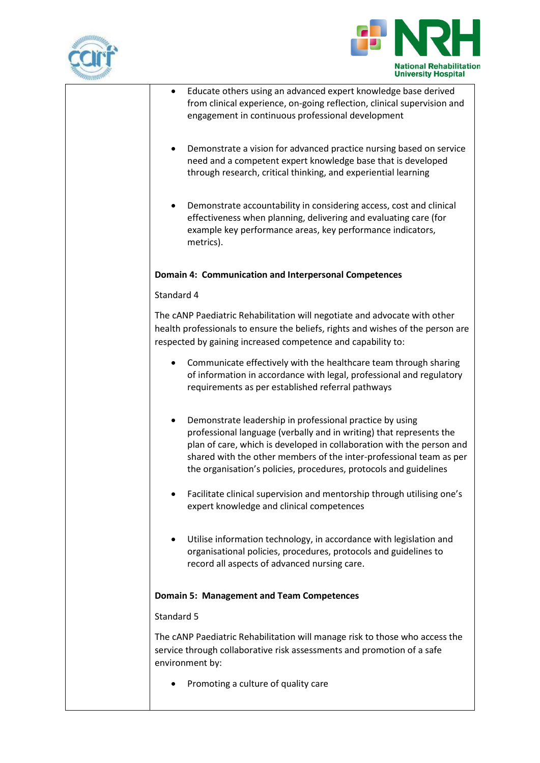



| Educate others using an advanced expert knowledge base derived<br>from clinical experience, on-going reflection, clinical supervision and<br>engagement in continuous professional development                                                                                                                                                       |
|------------------------------------------------------------------------------------------------------------------------------------------------------------------------------------------------------------------------------------------------------------------------------------------------------------------------------------------------------|
| Demonstrate a vision for advanced practice nursing based on service<br>need and a competent expert knowledge base that is developed<br>through research, critical thinking, and experiential learning                                                                                                                                                |
| Demonstrate accountability in considering access, cost and clinical<br>effectiveness when planning, delivering and evaluating care (for<br>example key performance areas, key performance indicators,<br>metrics).                                                                                                                                   |
| Domain 4: Communication and Interpersonal Competences                                                                                                                                                                                                                                                                                                |
| Standard 4                                                                                                                                                                                                                                                                                                                                           |
| The cANP Paediatric Rehabilitation will negotiate and advocate with other<br>health professionals to ensure the beliefs, rights and wishes of the person are<br>respected by gaining increased competence and capability to:                                                                                                                         |
| Communicate effectively with the healthcare team through sharing<br>of information in accordance with legal, professional and regulatory<br>requirements as per established referral pathways                                                                                                                                                        |
| Demonstrate leadership in professional practice by using<br>professional language (verbally and in writing) that represents the<br>plan of care, which is developed in collaboration with the person and<br>shared with the other members of the inter-professional team as per<br>the organisation's policies, procedures, protocols and guidelines |
| Facilitate clinical supervision and mentorship through utilising one's<br>expert knowledge and clinical competences                                                                                                                                                                                                                                  |
| Utilise information technology, in accordance with legislation and<br>٠<br>organisational policies, procedures, protocols and guidelines to<br>record all aspects of advanced nursing care.                                                                                                                                                          |
| <b>Domain 5: Management and Team Competences</b>                                                                                                                                                                                                                                                                                                     |
| Standard 5                                                                                                                                                                                                                                                                                                                                           |
| The cANP Paediatric Rehabilitation will manage risk to those who access the<br>service through collaborative risk assessments and promotion of a safe<br>environment by:                                                                                                                                                                             |
| Promoting a culture of quality care                                                                                                                                                                                                                                                                                                                  |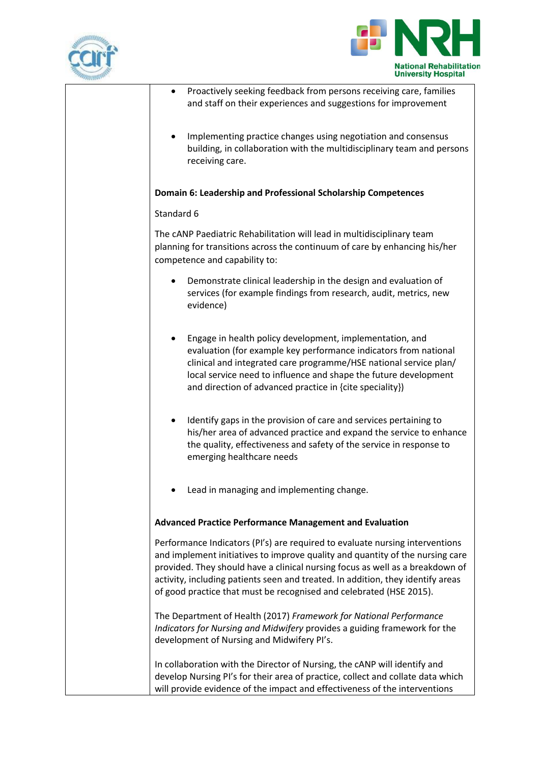



| Proactively seeking feedback from persons receiving care, families<br>and staff on their experiences and suggestions for improvement                                                                                                                                                                                                                                                                     |
|----------------------------------------------------------------------------------------------------------------------------------------------------------------------------------------------------------------------------------------------------------------------------------------------------------------------------------------------------------------------------------------------------------|
| Implementing practice changes using negotiation and consensus<br>building, in collaboration with the multidisciplinary team and persons<br>receiving care.                                                                                                                                                                                                                                               |
| Domain 6: Leadership and Professional Scholarship Competences                                                                                                                                                                                                                                                                                                                                            |
| Standard 6                                                                                                                                                                                                                                                                                                                                                                                               |
| The cANP Paediatric Rehabilitation will lead in multidisciplinary team<br>planning for transitions across the continuum of care by enhancing his/her<br>competence and capability to:                                                                                                                                                                                                                    |
| Demonstrate clinical leadership in the design and evaluation of<br>services (for example findings from research, audit, metrics, new<br>evidence)                                                                                                                                                                                                                                                        |
| Engage in health policy development, implementation, and<br>evaluation (for example key performance indicators from national<br>clinical and integrated care programme/HSE national service plan/<br>local service need to influence and shape the future development<br>and direction of advanced practice in {cite speciality})                                                                        |
| Identify gaps in the provision of care and services pertaining to<br>his/her area of advanced practice and expand the service to enhance<br>the quality, effectiveness and safety of the service in response to<br>emerging healthcare needs                                                                                                                                                             |
| Lead in managing and implementing change.                                                                                                                                                                                                                                                                                                                                                                |
| <b>Advanced Practice Performance Management and Evaluation</b>                                                                                                                                                                                                                                                                                                                                           |
| Performance Indicators (PI's) are required to evaluate nursing interventions<br>and implement initiatives to improve quality and quantity of the nursing care<br>provided. They should have a clinical nursing focus as well as a breakdown of<br>activity, including patients seen and treated. In addition, they identify areas<br>of good practice that must be recognised and celebrated (HSE 2015). |
| The Department of Health (2017) Framework for National Performance<br>Indicators for Nursing and Midwifery provides a guiding framework for the<br>development of Nursing and Midwifery PI's.                                                                                                                                                                                                            |
| In collaboration with the Director of Nursing, the cANP will identify and<br>develop Nursing PI's for their area of practice, collect and collate data which<br>will provide evidence of the impact and effectiveness of the interventions                                                                                                                                                               |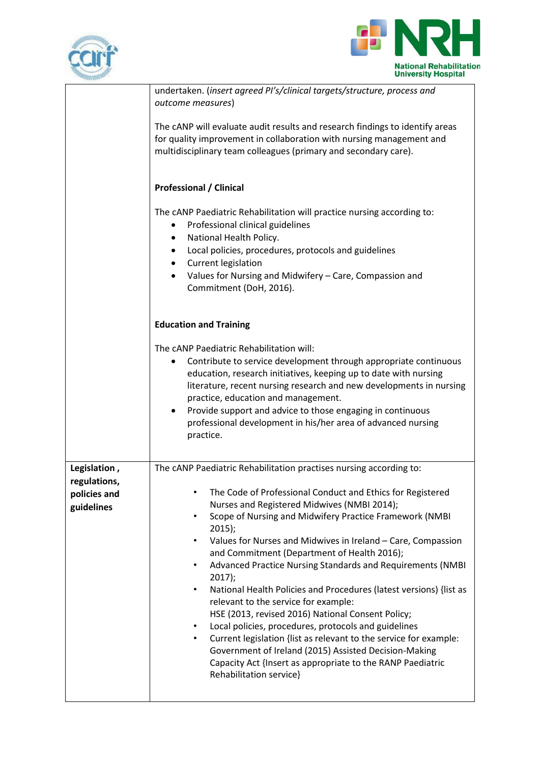



|                                            | undertaken. (insert agreed PI's/clinical targets/structure, process and<br>outcome measures)                                                                                                                                                                                                                                                                                                                                                                                                                                                                                                                                                                                                                                                                                                                                                                                                        |
|--------------------------------------------|-----------------------------------------------------------------------------------------------------------------------------------------------------------------------------------------------------------------------------------------------------------------------------------------------------------------------------------------------------------------------------------------------------------------------------------------------------------------------------------------------------------------------------------------------------------------------------------------------------------------------------------------------------------------------------------------------------------------------------------------------------------------------------------------------------------------------------------------------------------------------------------------------------|
|                                            | The cANP will evaluate audit results and research findings to identify areas<br>for quality improvement in collaboration with nursing management and<br>multidisciplinary team colleagues (primary and secondary care).                                                                                                                                                                                                                                                                                                                                                                                                                                                                                                                                                                                                                                                                             |
|                                            | <b>Professional / Clinical</b>                                                                                                                                                                                                                                                                                                                                                                                                                                                                                                                                                                                                                                                                                                                                                                                                                                                                      |
|                                            | The cANP Paediatric Rehabilitation will practice nursing according to:<br>Professional clinical guidelines<br>$\bullet$<br>National Health Policy.<br>$\bullet$                                                                                                                                                                                                                                                                                                                                                                                                                                                                                                                                                                                                                                                                                                                                     |
|                                            | Local policies, procedures, protocols and guidelines<br>$\bullet$<br>Current legislation<br>$\bullet$                                                                                                                                                                                                                                                                                                                                                                                                                                                                                                                                                                                                                                                                                                                                                                                               |
|                                            | Values for Nursing and Midwifery - Care, Compassion and<br>$\bullet$<br>Commitment (DoH, 2016).                                                                                                                                                                                                                                                                                                                                                                                                                                                                                                                                                                                                                                                                                                                                                                                                     |
|                                            | <b>Education and Training</b>                                                                                                                                                                                                                                                                                                                                                                                                                                                                                                                                                                                                                                                                                                                                                                                                                                                                       |
|                                            | The cANP Paediatric Rehabilitation will:<br>Contribute to service development through appropriate continuous<br>٠<br>education, research initiatives, keeping up to date with nursing<br>literature, recent nursing research and new developments in nursing<br>practice, education and management.<br>Provide support and advice to those engaging in continuous<br>$\bullet$<br>professional development in his/her area of advanced nursing<br>practice.                                                                                                                                                                                                                                                                                                                                                                                                                                         |
| Legislation,                               | The cANP Paediatric Rehabilitation practises nursing according to:                                                                                                                                                                                                                                                                                                                                                                                                                                                                                                                                                                                                                                                                                                                                                                                                                                  |
| regulations,<br>policies and<br>guidelines | The Code of Professional Conduct and Ethics for Registered<br>٠<br>Nurses and Registered Midwives (NMBI 2014);<br>Scope of Nursing and Midwifery Practice Framework (NMBI<br>$2015$ );<br>Values for Nurses and Midwives in Ireland - Care, Compassion<br>$\bullet$<br>and Commitment (Department of Health 2016);<br>Advanced Practice Nursing Standards and Requirements (NMBI<br>$\bullet$<br>$2017$ );<br>National Health Policies and Procedures (latest versions) {list as<br>$\bullet$<br>relevant to the service for example:<br>HSE (2013, revised 2016) National Consent Policy;<br>Local policies, procedures, protocols and guidelines<br>$\bullet$<br>Current legislation {list as relevant to the service for example:<br>$\bullet$<br>Government of Ireland (2015) Assisted Decision-Making<br>Capacity Act {Insert as appropriate to the RANP Paediatric<br>Rehabilitation service} |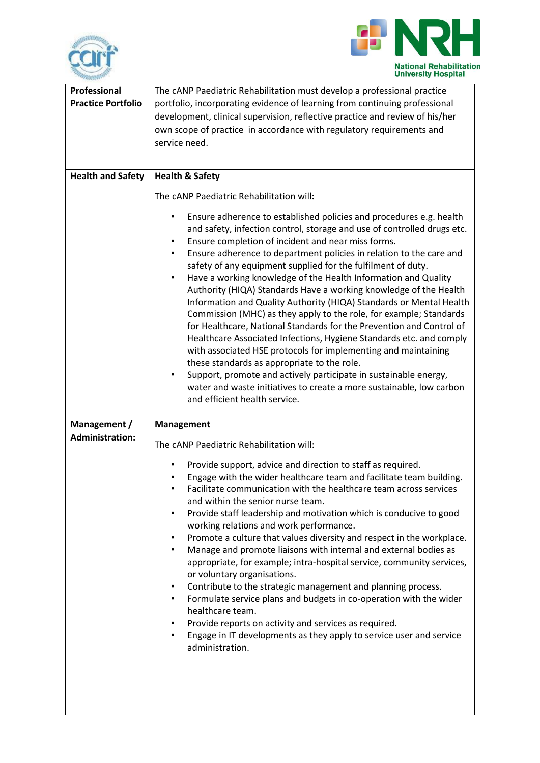



| <b>Professional</b><br><b>Practice Portfolio</b> | The cANP Paediatric Rehabilitation must develop a professional practice<br>portfolio, incorporating evidence of learning from continuing professional<br>development, clinical supervision, reflective practice and review of his/her<br>own scope of practice in accordance with regulatory requirements and<br>service need.                                                                                                                                                                                                                                                                                                                                                                                                                                                                                                                                                                                                                                                                                                                                                                                                                                                                  |
|--------------------------------------------------|-------------------------------------------------------------------------------------------------------------------------------------------------------------------------------------------------------------------------------------------------------------------------------------------------------------------------------------------------------------------------------------------------------------------------------------------------------------------------------------------------------------------------------------------------------------------------------------------------------------------------------------------------------------------------------------------------------------------------------------------------------------------------------------------------------------------------------------------------------------------------------------------------------------------------------------------------------------------------------------------------------------------------------------------------------------------------------------------------------------------------------------------------------------------------------------------------|
| <b>Health and Safety</b>                         | <b>Health &amp; Safety</b><br>The cANP Paediatric Rehabilitation will:<br>Ensure adherence to established policies and procedures e.g. health<br>٠<br>and safety, infection control, storage and use of controlled drugs etc.<br>Ensure completion of incident and near miss forms.<br>$\bullet$<br>Ensure adherence to department policies in relation to the care and<br>٠<br>safety of any equipment supplied for the fulfilment of duty.<br>Have a working knowledge of the Health Information and Quality<br>$\bullet$<br>Authority (HIQA) Standards Have a working knowledge of the Health<br>Information and Quality Authority (HIQA) Standards or Mental Health<br>Commission (MHC) as they apply to the role, for example; Standards<br>for Healthcare, National Standards for the Prevention and Control of<br>Healthcare Associated Infections, Hygiene Standards etc. and comply<br>with associated HSE protocols for implementing and maintaining<br>these standards as appropriate to the role.<br>Support, promote and actively participate in sustainable energy,<br>٠<br>water and waste initiatives to create a more sustainable, low carbon<br>and efficient health service. |
| Management /<br><b>Administration:</b>           | <b>Management</b><br>The cANP Paediatric Rehabilitation will:<br>Provide support, advice and direction to staff as required.<br>Engage with the wider healthcare team and facilitate team building.<br>Facilitate communication with the healthcare team across services<br>and within the senior nurse team.<br>Provide staff leadership and motivation which is conducive to good<br>٠<br>working relations and work performance.<br>Promote a culture that values diversity and respect in the workplace.<br>$\bullet$<br>Manage and promote liaisons with internal and external bodies as<br>appropriate, for example; intra-hospital service, community services,<br>or voluntary organisations.<br>Contribute to the strategic management and planning process.<br>$\bullet$<br>Formulate service plans and budgets in co-operation with the wider<br>$\bullet$<br>healthcare team.<br>Provide reports on activity and services as required.<br>$\bullet$<br>Engage in IT developments as they apply to service user and service<br>administration.                                                                                                                                       |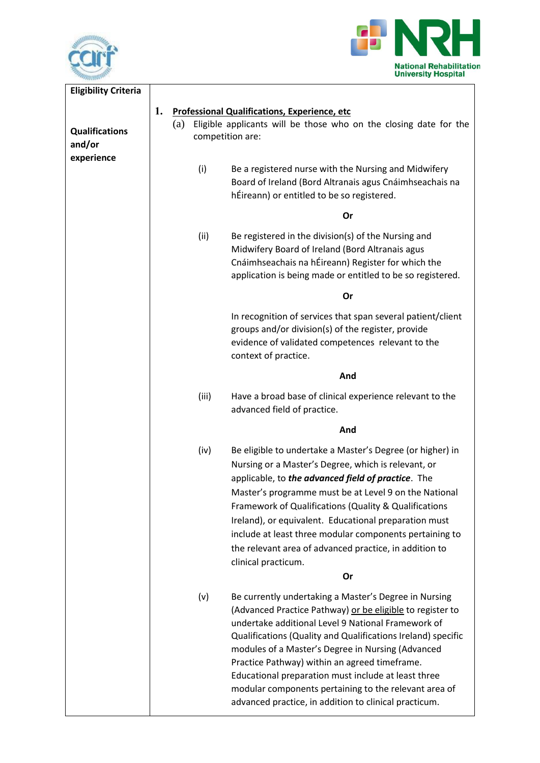



| <b>Eligibility Criteria</b>                   |                                                                                                                                                                                                                                                                                                                                                                                                                                                                                                                                |
|-----------------------------------------------|--------------------------------------------------------------------------------------------------------------------------------------------------------------------------------------------------------------------------------------------------------------------------------------------------------------------------------------------------------------------------------------------------------------------------------------------------------------------------------------------------------------------------------|
|                                               | 1.<br><b>Professional Qualifications, Experience, etc</b>                                                                                                                                                                                                                                                                                                                                                                                                                                                                      |
| <b>Qualifications</b><br>and/or<br>experience | Eligible applicants will be those who on the closing date for the<br>(a)<br>competition are:                                                                                                                                                                                                                                                                                                                                                                                                                                   |
|                                               | (i)<br>Be a registered nurse with the Nursing and Midwifery<br>Board of Ireland (Bord Altranais agus Cnáimhseachais na<br>hÉireann) or entitled to be so registered.                                                                                                                                                                                                                                                                                                                                                           |
|                                               | Or                                                                                                                                                                                                                                                                                                                                                                                                                                                                                                                             |
|                                               | (ii)<br>Be registered in the division(s) of the Nursing and<br>Midwifery Board of Ireland (Bord Altranais agus<br>Cnáimhseachais na hÉireann) Register for which the<br>application is being made or entitled to be so registered.                                                                                                                                                                                                                                                                                             |
|                                               | Or                                                                                                                                                                                                                                                                                                                                                                                                                                                                                                                             |
|                                               | In recognition of services that span several patient/client<br>groups and/or division(s) of the register, provide<br>evidence of validated competences relevant to the<br>context of practice.                                                                                                                                                                                                                                                                                                                                 |
|                                               | And                                                                                                                                                                                                                                                                                                                                                                                                                                                                                                                            |
|                                               | (iii)<br>Have a broad base of clinical experience relevant to the<br>advanced field of practice.                                                                                                                                                                                                                                                                                                                                                                                                                               |
|                                               | And                                                                                                                                                                                                                                                                                                                                                                                                                                                                                                                            |
|                                               | (iv)<br>Be eligible to undertake a Master's Degree (or higher) in<br>Nursing or a Master's Degree, which is relevant, or<br>applicable, to the advanced field of practice. The<br>Master's programme must be at Level 9 on the National<br>Framework of Qualifications (Quality & Qualifications<br>Ireland), or equivalent. Educational preparation must<br>include at least three modular components pertaining to<br>the relevant area of advanced practice, in addition to<br>clinical practicum.<br>Or                    |
|                                               |                                                                                                                                                                                                                                                                                                                                                                                                                                                                                                                                |
|                                               | (v)<br>Be currently undertaking a Master's Degree in Nursing<br>(Advanced Practice Pathway) or be eligible to register to<br>undertake additional Level 9 National Framework of<br>Qualifications (Quality and Qualifications Ireland) specific<br>modules of a Master's Degree in Nursing (Advanced<br>Practice Pathway) within an agreed timeframe.<br>Educational preparation must include at least three<br>modular components pertaining to the relevant area of<br>advanced practice, in addition to clinical practicum. |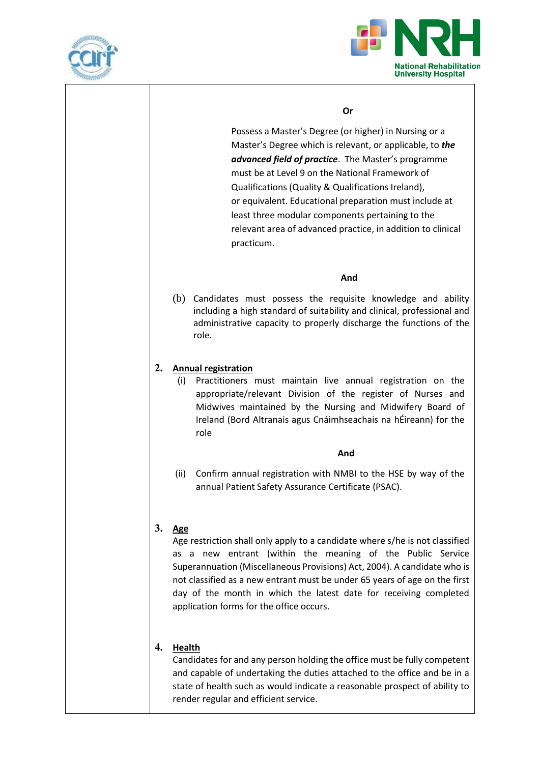



#### **Or**

Possess a Master's Degree (or higher) in Nursing or a Master's Degree which is relevant, or applicable, to *the advanced field of practice*. The Master's programme must be at Level 9 on the National Framework of Qualifications (Quality & Qualifications Ireland), or equivalent. Educational preparation must include at least three modular components pertaining to the relevant area of advanced practice, in addition to clinical practicum.

#### **And**

(b) Candidates must possess the requisite knowledge and ability including a high standard of suitability and clinical, professional and administrative capacity to properly discharge the functions of the role.

### **2. Annual registration**

(i) Practitioners must maintain live annual registration on the appropriate/relevant Division of the register of Nurses and Midwives maintained by the Nursing and Midwifery Board of Ireland (Bord Altranais agus Cnáimhseachais na hÉireann) for the role

#### **And**

(ii) Confirm annual registration with NMBI to the HSE by way of the annual Patient Safety Assurance Certificate (PSAC).

### **3. Age**

Age restriction shall only apply to a candidate where s/he is not classified as a new entrant (within the meaning of the Public Service Superannuation (Miscellaneous Provisions) Act, 2004). A candidate who is not classified as a new entrant must be under 65 years of age on the first day of the month in which the latest date for receiving completed application forms for the office occurs.

### **4. Health**

Candidates for and any person holding the office must be fully competent and capable of undertaking the duties attached to the office and be in a state of health such as would indicate a reasonable prospect of ability to render regular and efficient service.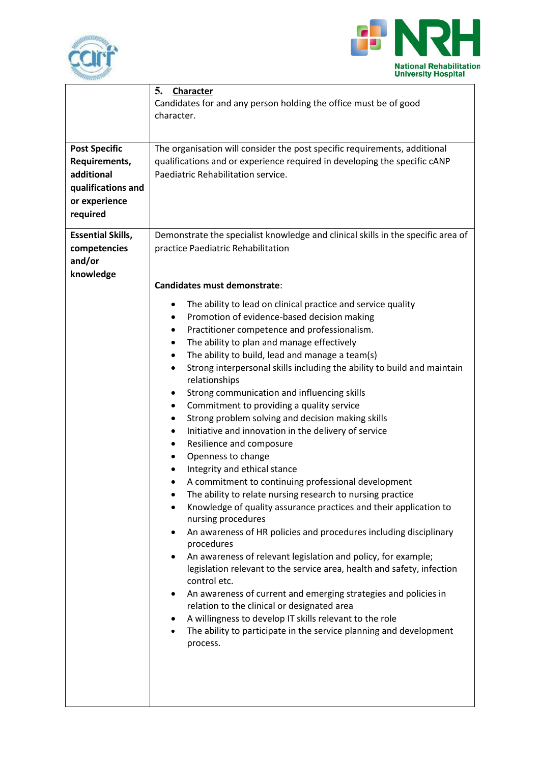



| <b>Post Specific</b><br>Requirements,<br>additional<br>qualifications and<br>or experience<br>required | 5.<br>Character<br>Candidates for and any person holding the office must be of good<br>character.<br>The organisation will consider the post specific requirements, additional<br>qualifications and or experience required in developing the specific cANP<br>Paediatric Rehabilitation service.                                                                                                                                                                                                                                                                                                                                                                                                                                                                                                                                                                                                                                                                                                                                                                                                                                                                                                                                                                                                                                                                                                                                                                                                                                                                                                                                                                            |
|--------------------------------------------------------------------------------------------------------|------------------------------------------------------------------------------------------------------------------------------------------------------------------------------------------------------------------------------------------------------------------------------------------------------------------------------------------------------------------------------------------------------------------------------------------------------------------------------------------------------------------------------------------------------------------------------------------------------------------------------------------------------------------------------------------------------------------------------------------------------------------------------------------------------------------------------------------------------------------------------------------------------------------------------------------------------------------------------------------------------------------------------------------------------------------------------------------------------------------------------------------------------------------------------------------------------------------------------------------------------------------------------------------------------------------------------------------------------------------------------------------------------------------------------------------------------------------------------------------------------------------------------------------------------------------------------------------------------------------------------------------------------------------------------|
| <b>Essential Skills,</b><br>competencies<br>and/or<br>knowledge                                        | Demonstrate the specialist knowledge and clinical skills in the specific area of<br>practice Paediatric Rehabilitation<br><b>Candidates must demonstrate:</b><br>The ability to lead on clinical practice and service quality<br>Promotion of evidence-based decision making<br>$\bullet$<br>Practitioner competence and professionalism.<br>٠<br>The ability to plan and manage effectively<br>٠<br>The ability to build, lead and manage a team(s)<br>$\bullet$<br>Strong interpersonal skills including the ability to build and maintain<br>$\bullet$<br>relationships<br>Strong communication and influencing skills<br>٠<br>Commitment to providing a quality service<br>٠<br>Strong problem solving and decision making skills<br>٠<br>Initiative and innovation in the delivery of service<br>٠<br>Resilience and composure<br>٠<br>Openness to change<br>$\bullet$<br>Integrity and ethical stance<br>$\bullet$<br>A commitment to continuing professional development<br>The ability to relate nursing research to nursing practice<br>Knowledge of quality assurance practices and their application to<br>nursing procedures<br>An awareness of HR policies and procedures including disciplinary<br>٠<br>procedures<br>An awareness of relevant legislation and policy, for example;<br>legislation relevant to the service area, health and safety, infection<br>control etc.<br>An awareness of current and emerging strategies and policies in<br>٠<br>relation to the clinical or designated area<br>A willingness to develop IT skills relevant to the role<br>$\bullet$<br>The ability to participate in the service planning and development<br>process. |
|                                                                                                        |                                                                                                                                                                                                                                                                                                                                                                                                                                                                                                                                                                                                                                                                                                                                                                                                                                                                                                                                                                                                                                                                                                                                                                                                                                                                                                                                                                                                                                                                                                                                                                                                                                                                              |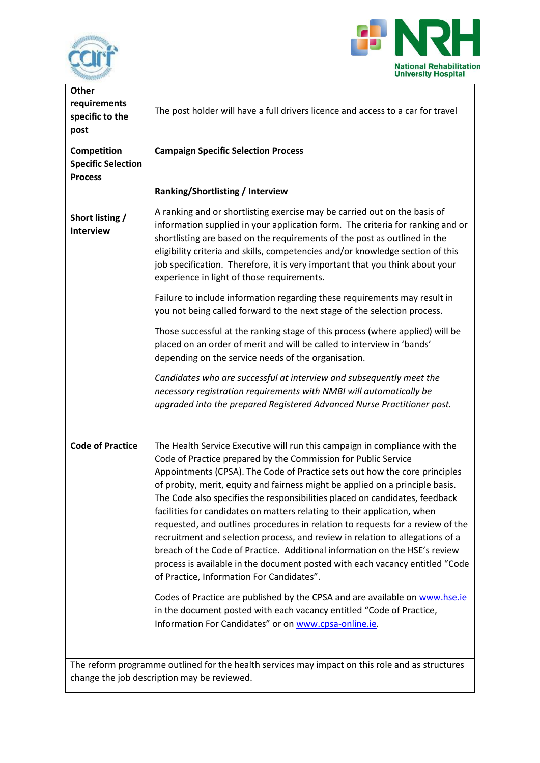



| <b>Other</b><br>requirements<br>specific to the<br>post                                         | The post holder will have a full drivers licence and access to a car for travel                                                                                                                                                                                                                                                                                                                                                                                                                                                                                                                                                                                                                                                                                                                                                                                                                                                                                                                                                                                      |  |
|-------------------------------------------------------------------------------------------------|----------------------------------------------------------------------------------------------------------------------------------------------------------------------------------------------------------------------------------------------------------------------------------------------------------------------------------------------------------------------------------------------------------------------------------------------------------------------------------------------------------------------------------------------------------------------------------------------------------------------------------------------------------------------------------------------------------------------------------------------------------------------------------------------------------------------------------------------------------------------------------------------------------------------------------------------------------------------------------------------------------------------------------------------------------------------|--|
| Competition                                                                                     | <b>Campaign Specific Selection Process</b>                                                                                                                                                                                                                                                                                                                                                                                                                                                                                                                                                                                                                                                                                                                                                                                                                                                                                                                                                                                                                           |  |
| <b>Specific Selection</b><br><b>Process</b>                                                     |                                                                                                                                                                                                                                                                                                                                                                                                                                                                                                                                                                                                                                                                                                                                                                                                                                                                                                                                                                                                                                                                      |  |
|                                                                                                 | Ranking/Shortlisting / Interview                                                                                                                                                                                                                                                                                                                                                                                                                                                                                                                                                                                                                                                                                                                                                                                                                                                                                                                                                                                                                                     |  |
| Short listing /<br><b>Interview</b>                                                             | A ranking and or shortlisting exercise may be carried out on the basis of<br>information supplied in your application form. The criteria for ranking and or<br>shortlisting are based on the requirements of the post as outlined in the<br>eligibility criteria and skills, competencies and/or knowledge section of this<br>job specification. Therefore, it is very important that you think about your<br>experience in light of those requirements.                                                                                                                                                                                                                                                                                                                                                                                                                                                                                                                                                                                                             |  |
|                                                                                                 | Failure to include information regarding these requirements may result in<br>you not being called forward to the next stage of the selection process.                                                                                                                                                                                                                                                                                                                                                                                                                                                                                                                                                                                                                                                                                                                                                                                                                                                                                                                |  |
|                                                                                                 | Those successful at the ranking stage of this process (where applied) will be<br>placed on an order of merit and will be called to interview in 'bands'<br>depending on the service needs of the organisation.                                                                                                                                                                                                                                                                                                                                                                                                                                                                                                                                                                                                                                                                                                                                                                                                                                                       |  |
|                                                                                                 | Candidates who are successful at interview and subsequently meet the<br>necessary registration requirements with NMBI will automatically be<br>upgraded into the prepared Registered Advanced Nurse Practitioner post.                                                                                                                                                                                                                                                                                                                                                                                                                                                                                                                                                                                                                                                                                                                                                                                                                                               |  |
| <b>Code of Practice</b>                                                                         | The Health Service Executive will run this campaign in compliance with the<br>Code of Practice prepared by the Commission for Public Service<br>Appointments (CPSA). The Code of Practice sets out how the core principles<br>of probity, merit, equity and fairness might be applied on a principle basis.<br>The Code also specifies the responsibilities placed on candidates, feedback<br>facilities for candidates on matters relating to their application, when<br>requested, and outlines procedures in relation to requests for a review of the<br>recruitment and selection process, and review in relation to allegations of a<br>breach of the Code of Practice. Additional information on the HSE's review<br>process is available in the document posted with each vacancy entitled "Code<br>of Practice, Information For Candidates".<br>Codes of Practice are published by the CPSA and are available on www.hse.ie<br>in the document posted with each vacancy entitled "Code of Practice,<br>Information For Candidates" or on www.cpsa-online.ie. |  |
| The reform programme outlined for the health services may impact on this role and as structures |                                                                                                                                                                                                                                                                                                                                                                                                                                                                                                                                                                                                                                                                                                                                                                                                                                                                                                                                                                                                                                                                      |  |
| change the job description may be reviewed.                                                     |                                                                                                                                                                                                                                                                                                                                                                                                                                                                                                                                                                                                                                                                                                                                                                                                                                                                                                                                                                                                                                                                      |  |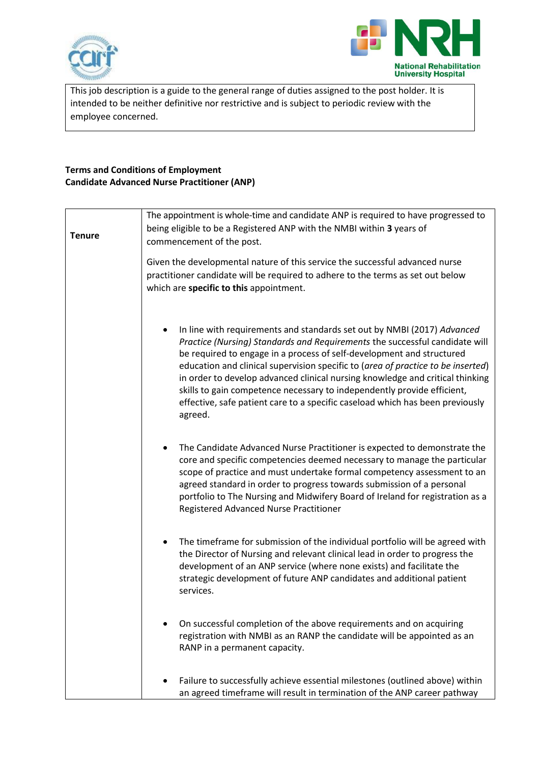



This job description is a guide to the general range of duties assigned to the post holder. It is intended to be neither definitive nor restrictive and is subject to periodic review with the employee concerned.

## **Terms and Conditions of Employment Candidate Advanced Nurse Practitioner (ANP)**

| being eligible to be a Registered ANP with the NMBI within 3 years of<br><b>Tenure</b><br>commencement of the post.<br>Given the developmental nature of this service the successful advanced nurse |  |
|-----------------------------------------------------------------------------------------------------------------------------------------------------------------------------------------------------|--|
|                                                                                                                                                                                                     |  |
|                                                                                                                                                                                                     |  |
|                                                                                                                                                                                                     |  |
| practitioner candidate will be required to adhere to the terms as set out below                                                                                                                     |  |
| which are specific to this appointment.                                                                                                                                                             |  |
|                                                                                                                                                                                                     |  |
|                                                                                                                                                                                                     |  |
| In line with requirements and standards set out by NMBI (2017) Advanced                                                                                                                             |  |
| Practice (Nursing) Standards and Requirements the successful candidate will                                                                                                                         |  |
| be required to engage in a process of self-development and structured<br>education and clinical supervision specific to (area of practice to be inserted)                                           |  |
| in order to develop advanced clinical nursing knowledge and critical thinking                                                                                                                       |  |
| skills to gain competence necessary to independently provide efficient,                                                                                                                             |  |
| effective, safe patient care to a specific caseload which has been previously                                                                                                                       |  |
| agreed.                                                                                                                                                                                             |  |
|                                                                                                                                                                                                     |  |
| The Candidate Advanced Nurse Practitioner is expected to demonstrate the<br>$\bullet$                                                                                                               |  |
| core and specific competencies deemed necessary to manage the particular                                                                                                                            |  |
| scope of practice and must undertake formal competency assessment to an<br>agreed standard in order to progress towards submission of a personal                                                    |  |
| portfolio to The Nursing and Midwifery Board of Ireland for registration as a                                                                                                                       |  |
| Registered Advanced Nurse Practitioner                                                                                                                                                              |  |
|                                                                                                                                                                                                     |  |
| The timeframe for submission of the individual portfolio will be agreed with                                                                                                                        |  |
| the Director of Nursing and relevant clinical lead in order to progress the                                                                                                                         |  |
| development of an ANP service (where none exists) and facilitate the                                                                                                                                |  |
| strategic development of future ANP candidates and additional patient<br>services.                                                                                                                  |  |
|                                                                                                                                                                                                     |  |
|                                                                                                                                                                                                     |  |
| On successful completion of the above requirements and on acquiring<br>registration with NMBI as an RANP the candidate will be appointed as an                                                      |  |
| RANP in a permanent capacity.                                                                                                                                                                       |  |
|                                                                                                                                                                                                     |  |
| Failure to successfully achieve essential milestones (outlined above) within                                                                                                                        |  |
| an agreed timeframe will result in termination of the ANP career pathway                                                                                                                            |  |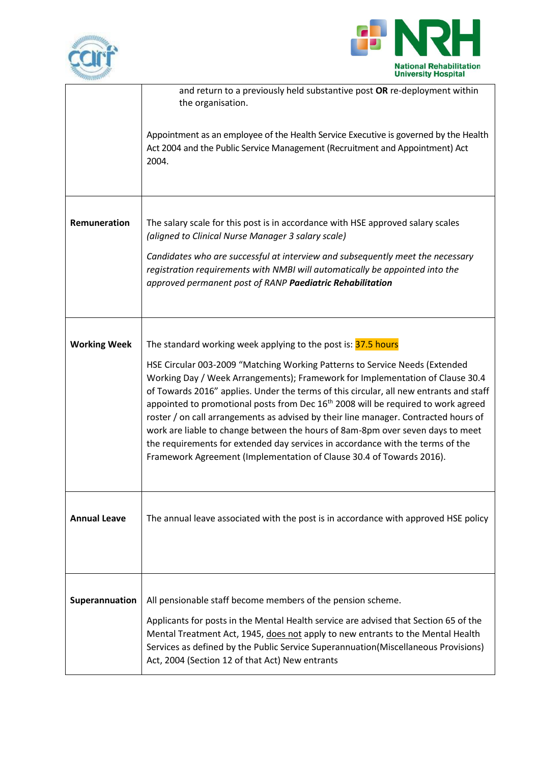



|                     | and return to a previously held substantive post OR re-deployment within<br>the organisation.                                                                                                                                                                                                                                                                                                                                                                                                                                                                                                                                                                                                                                                               |
|---------------------|-------------------------------------------------------------------------------------------------------------------------------------------------------------------------------------------------------------------------------------------------------------------------------------------------------------------------------------------------------------------------------------------------------------------------------------------------------------------------------------------------------------------------------------------------------------------------------------------------------------------------------------------------------------------------------------------------------------------------------------------------------------|
|                     | Appointment as an employee of the Health Service Executive is governed by the Health<br>Act 2004 and the Public Service Management (Recruitment and Appointment) Act<br>2004.                                                                                                                                                                                                                                                                                                                                                                                                                                                                                                                                                                               |
| Remuneration        | The salary scale for this post is in accordance with HSE approved salary scales<br>(aligned to Clinical Nurse Manager 3 salary scale)<br>Candidates who are successful at interview and subsequently meet the necessary<br>registration requirements with NMBI will automatically be appointed into the<br>approved permanent post of RANP Paediatric Rehabilitation                                                                                                                                                                                                                                                                                                                                                                                        |
| <b>Working Week</b> | The standard working week applying to the post is: 37.5 hours<br>HSE Circular 003-2009 "Matching Working Patterns to Service Needs (Extended<br>Working Day / Week Arrangements); Framework for Implementation of Clause 30.4<br>of Towards 2016" applies. Under the terms of this circular, all new entrants and staff<br>appointed to promotional posts from Dec 16 <sup>th</sup> 2008 will be required to work agreed<br>roster / on call arrangements as advised by their line manager. Contracted hours of<br>work are liable to change between the hours of 8am-8pm over seven days to meet<br>the requirements for extended day services in accordance with the terms of the<br>Framework Agreement (Implementation of Clause 30.4 of Towards 2016). |
| <b>Annual Leave</b> | The annual leave associated with the post is in accordance with approved HSE policy                                                                                                                                                                                                                                                                                                                                                                                                                                                                                                                                                                                                                                                                         |
| Superannuation      | All pensionable staff become members of the pension scheme.<br>Applicants for posts in the Mental Health service are advised that Section 65 of the<br>Mental Treatment Act, 1945, does not apply to new entrants to the Mental Health<br>Services as defined by the Public Service Superannuation(Miscellaneous Provisions)<br>Act, 2004 (Section 12 of that Act) New entrants                                                                                                                                                                                                                                                                                                                                                                             |